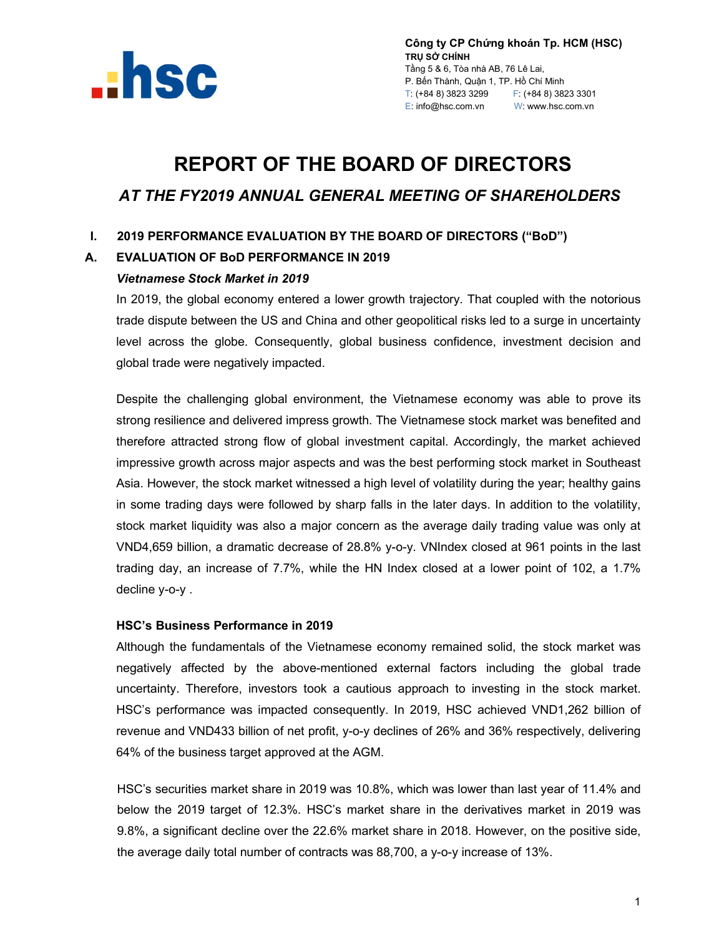

**Công ty CP Chứng khoán Tp. HCM (HSC) TRỤ SỞ CHÍNH** Tầng 5 & 6, Tòa nhà AB, 76 Lê Lai, P. Bến Thành, Quận 1, TP. Hồ Chí Minh T: (+84 8) 3823 3299 F: (+84 8) 3823 3301 E: info@hsc.com.vn W: www.hsc.com.vn

# **REPORT OF THE BOARD OF DIRECTORS**  *AT THE FY2019 ANNUAL GENERAL MEETING OF SHAREHOLDERS*

## **I. 2019 PERFORMANCE EVALUATION BY THE BOARD OF DIRECTORS ("BoD")**

## **A. EVALUATION OF BoD PERFORMANCE IN 2019**

#### *Vietnamese Stock Market in 2019*

In 2019, the global economy entered a lower growth trajectory. That coupled with the notorious trade dispute between the US and China and other geopolitical risks led to a surge in uncertainty level across the globe. Consequently, global business confidence, investment decision and global trade were negatively impacted.

Despite the challenging global environment, the Vietnamese economy was able to prove its strong resilience and delivered impress growth. The Vietnamese stock market was benefited and therefore attracted strong flow of global investment capital. Accordingly, the market achieved impressive growth across major aspects and was the best performing stock market in Southeast Asia. However, the stock market witnessed a high level of volatility during the year; healthy gains in some trading days were followed by sharp falls in the later days. In addition to the volatility, stock market liquidity was also a major concern as the average daily trading value was only at VND4,659 billion, a dramatic decrease of 28.8% y-o-y. VNIndex closed at 961 points in the last trading day, an increase of 7.7%, while the HN Index closed at a lower point of 102, a 1.7% decline y-o-y .

## **HSC's Business Performance in 2019**

Although the fundamentals of the Vietnamese economy remained solid, the stock market was negatively affected by the above-mentioned external factors including the global trade uncertainty. Therefore, investors took a cautious approach to investing in the stock market. HSC's performance was impacted consequently. In 2019, HSC achieved VND1,262 billion of revenue and VND433 billion of net profit, y-o-y declines of 26% and 36% respectively, delivering 64% of the business target approved at the AGM.

HSC's securities market share in 2019 was 10.8%, which was lower than last year of 11.4% and below the 2019 target of 12.3%. HSC's market share in the derivatives market in 2019 was 9.8%, a significant decline over the 22.6% market share in 2018. However, on the positive side, the average daily total number of contracts was 88,700, a y-o-y increase of 13%.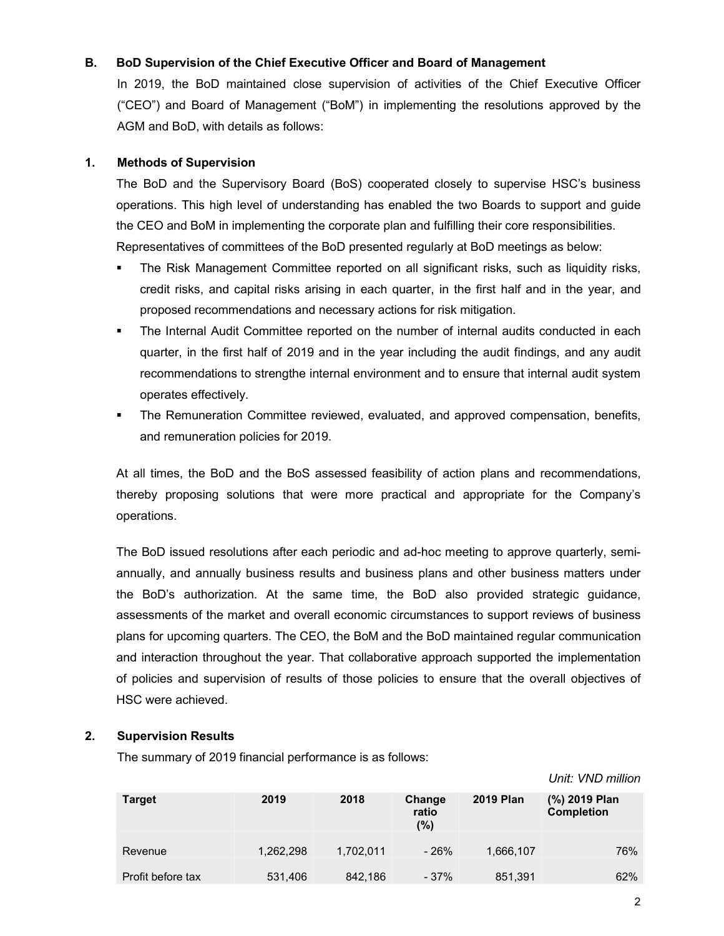## **B. BoD Supervision of the Chief Executive Officer and Board of Management**

In 2019, the BoD maintained close supervision of activities of the Chief Executive Officer ("CEO") and Board of Management ("BoM") in implementing the resolutions approved by the AGM and BoD, with details as follows:

## **1. Methods of Supervision**

The BoD and the Supervisory Board (BoS) cooperated closely to supervise HSC's business operations. This high level of understanding has enabled the two Boards to support and guide the CEO and BoM in implementing the corporate plan and fulfilling their core responsibilities. Representatives of committees of the BoD presented regularly at BoD meetings as below:

- The Risk Management Committee reported on all significant risks, such as liquidity risks, credit risks, and capital risks arising in each quarter, in the first half and in the year, and proposed recommendations and necessary actions for risk mitigation.
- The Internal Audit Committee reported on the number of internal audits conducted in each quarter, in the first half of 2019 and in the year including the audit findings, and any audit recommendations to strengthe internal environment and to ensure that internal audit system operates effectively.
- The Remuneration Committee reviewed, evaluated, and approved compensation, benefits, and remuneration policies for 2019.

At all times, the BoD and the BoS assessed feasibility of action plans and recommendations, thereby proposing solutions that were more practical and appropriate for the Company's operations.

The BoD issued resolutions after each periodic and ad-hoc meeting to approve quarterly, semiannually, and annually business results and business plans and other business matters under the BoD's authorization. At the same time, the BoD also provided strategic guidance, assessments of the market and overall economic circumstances to support reviews of business plans for upcoming quarters. The CEO, the BoM and the BoD maintained regular communication and interaction throughout the year. That collaborative approach supported the implementation of policies and supervision of results of those policies to ensure that the overall objectives of HSC were achieved.

## **2. Supervision Results**

The summary of 2019 financial performance is as follows:

|                   |           |           |                        |                  | UTIIL. VIIU HIIIIUIT               |
|-------------------|-----------|-----------|------------------------|------------------|------------------------------------|
| <b>Target</b>     | 2019      | 2018      | Change<br>ratio<br>(%) | <b>2019 Plan</b> | (%) 2019 Plan<br><b>Completion</b> |
| Revenue           | 1,262,298 | 1,702,011 | - 26%                  | 1,666,107        | 76%                                |
| Profit before tax | 531,406   | 842,186   | $-37%$                 | 851,391          | 62%                                |

*Unit: VND million*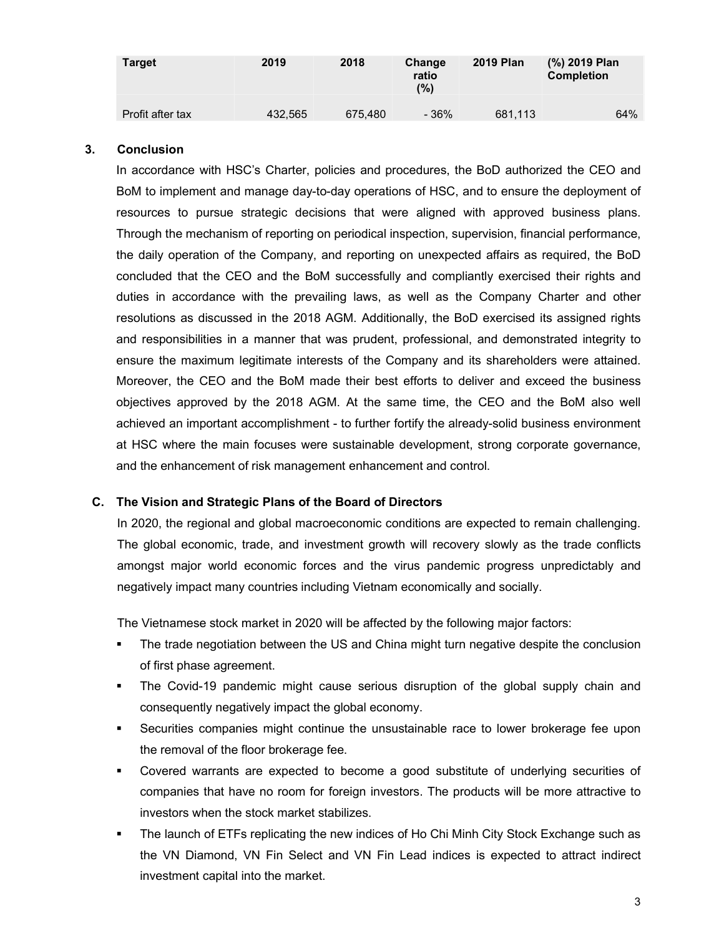| <b>Target</b>    | 2019    | 2018    | Change<br>ratio<br>(%) | <b>2019 Plan</b> | (%) 2019 Plan<br><b>Completion</b> |
|------------------|---------|---------|------------------------|------------------|------------------------------------|
| Profit after tax | 432.565 | 675.480 | - 36%                  | 681.113          | 64%                                |

#### **3. Conclusion**

In accordance with HSC's Charter, policies and procedures, the BoD authorized the CEO and BoM to implement and manage day-to-day operations of HSC, and to ensure the deployment of resources to pursue strategic decisions that were aligned with approved business plans. Through the mechanism of reporting on periodical inspection, supervision, financial performance, the daily operation of the Company, and reporting on unexpected affairs as required, the BoD concluded that the CEO and the BoM successfully and compliantly exercised their rights and duties in accordance with the prevailing laws, as well as the Company Charter and other resolutions as discussed in the 2018 AGM. Additionally, the BoD exercised its assigned rights and responsibilities in a manner that was prudent, professional, and demonstrated integrity to ensure the maximum legitimate interests of the Company and its shareholders were attained. Moreover, the CEO and the BoM made their best efforts to deliver and exceed the business objectives approved by the 2018 AGM. At the same time, the CEO and the BoM also well achieved an important accomplishment - to further fortify the already-solid business environment at HSC where the main focuses were sustainable development, strong corporate governance, and the enhancement of risk management enhancement and control.

#### **C. The Vision and Strategic Plans of the Board of Directors**

In 2020, the regional and global macroeconomic conditions are expected to remain challenging. The global economic, trade, and investment growth will recovery slowly as the trade conflicts amongst major world economic forces and the virus pandemic progress unpredictably and negatively impact many countries including Vietnam economically and socially.

The Vietnamese stock market in 2020 will be affected by the following major factors:

- The trade negotiation between the US and China might turn negative despite the conclusion of first phase agreement.
- The Covid-19 pandemic might cause serious disruption of the global supply chain and consequently negatively impact the global economy.
- Securities companies might continue the unsustainable race to lower brokerage fee upon the removal of the floor brokerage fee.
- Covered warrants are expected to become a good substitute of underlying securities of companies that have no room for foreign investors. The products will be more attractive to investors when the stock market stabilizes.
- The launch of ETFs replicating the new indices of Ho Chi Minh City Stock Exchange such as the VN Diamond, VN Fin Select and VN Fin Lead indices is expected to attract indirect investment capital into the market.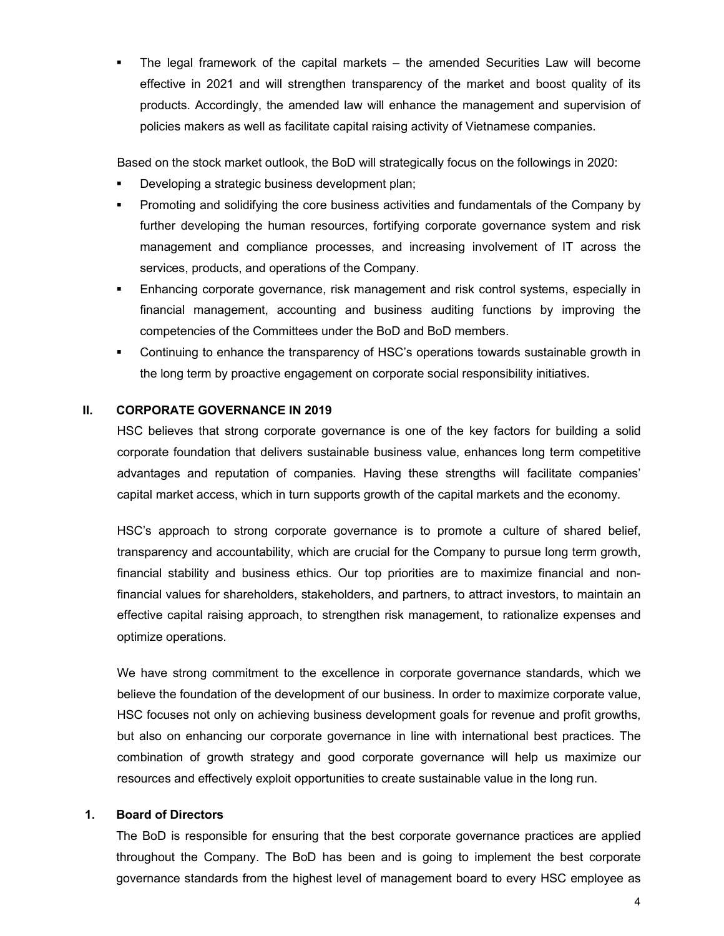The legal framework of the capital markets – the amended Securities Law will become effective in 2021 and will strengthen transparency of the market and boost quality of its products. Accordingly, the amended law will enhance the management and supervision of policies makers as well as facilitate capital raising activity of Vietnamese companies.

Based on the stock market outlook, the BoD will strategically focus on the followings in 2020:

- Developing a strategic business development plan;
- Promoting and solidifying the core business activities and fundamentals of the Company by further developing the human resources, fortifying corporate governance system and risk management and compliance processes, and increasing involvement of IT across the services, products, and operations of the Company.
- Enhancing corporate governance, risk management and risk control systems, especially in financial management, accounting and business auditing functions by improving the competencies of the Committees under the BoD and BoD members.
- Continuing to enhance the transparency of HSC's operations towards sustainable growth in the long term by proactive engagement on corporate social responsibility initiatives.

#### **II. CORPORATE GOVERNANCE IN 2019**

HSC believes that strong corporate governance is one of the key factors for building a solid corporate foundation that delivers sustainable business value, enhances long term competitive advantages and reputation of companies. Having these strengths will facilitate companies' capital market access, which in turn supports growth of the capital markets and the economy.

HSC's approach to strong corporate governance is to promote a culture of shared belief, transparency and accountability, which are crucial for the Company to pursue long term growth, financial stability and business ethics. Our top priorities are to maximize financial and nonfinancial values for shareholders, stakeholders, and partners, to attract investors, to maintain an effective capital raising approach, to strengthen risk management, to rationalize expenses and optimize operations.

We have strong commitment to the excellence in corporate governance standards, which we believe the foundation of the development of our business. In order to maximize corporate value, HSC focuses not only on achieving business development goals for revenue and profit growths, but also on enhancing our corporate governance in line with international best practices. The combination of growth strategy and good corporate governance will help us maximize our resources and effectively exploit opportunities to create sustainable value in the long run.

#### **1. Board of Directors**

The BoD is responsible for ensuring that the best corporate governance practices are applied throughout the Company. The BoD has been and is going to implement the best corporate governance standards from the highest level of management board to every HSC employee as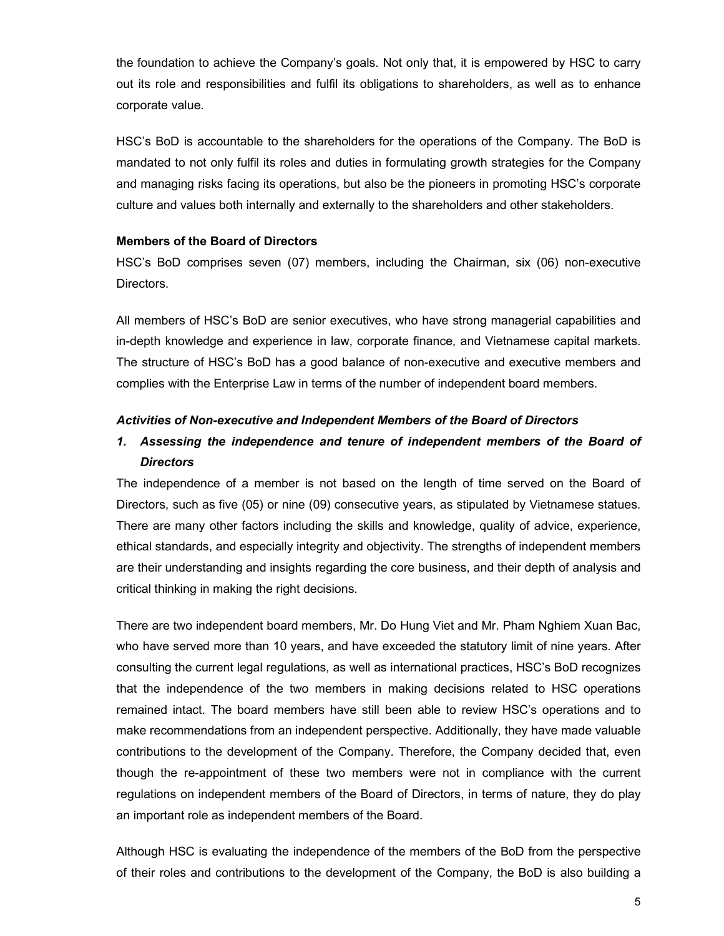the foundation to achieve the Company's goals. Not only that, it is empowered by HSC to carry out its role and responsibilities and fulfil its obligations to shareholders, as well as to enhance corporate value.

HSC's BoD is accountable to the shareholders for the operations of the Company. The BoD is mandated to not only fulfil its roles and duties in formulating growth strategies for the Company and managing risks facing its operations, but also be the pioneers in promoting HSC's corporate culture and values both internally and externally to the shareholders and other stakeholders.

## **Members of the Board of Directors**

HSC's BoD comprises seven (07) members, including the Chairman, six (06) non-executive Directors.

All members of HSC's BoD are senior executives, who have strong managerial capabilities and in-depth knowledge and experience in law, corporate finance, and Vietnamese capital markets. The structure of HSC's BoD has a good balance of non-executive and executive members and complies with the Enterprise Law in terms of the number of independent board members.

#### *Activities of Non-executive and Independent Members of the Board of Directors*

# *1. Assessing the independence and tenure of independent members of the Board of Directors*

The independence of a member is not based on the length of time served on the Board of Directors, such as five (05) or nine (09) consecutive years, as stipulated by Vietnamese statues. There are many other factors including the skills and knowledge, quality of advice, experience, ethical standards, and especially integrity and objectivity. The strengths of independent members are their understanding and insights regarding the core business, and their depth of analysis and critical thinking in making the right decisions.

There are two independent board members, Mr. Do Hung Viet and Mr. Pham Nghiem Xuan Bac, who have served more than 10 years, and have exceeded the statutory limit of nine years. After consulting the current legal regulations, as well as international practices, HSC's BoD recognizes that the independence of the two members in making decisions related to HSC operations remained intact. The board members have still been able to review HSC's operations and to make recommendations from an independent perspective. Additionally, they have made valuable contributions to the development of the Company. Therefore, the Company decided that, even though the re-appointment of these two members were not in compliance with the current regulations on independent members of the Board of Directors, in terms of nature, they do play an important role as independent members of the Board.

Although HSC is evaluating the independence of the members of the BoD from the perspective of their roles and contributions to the development of the Company, the BoD is also building a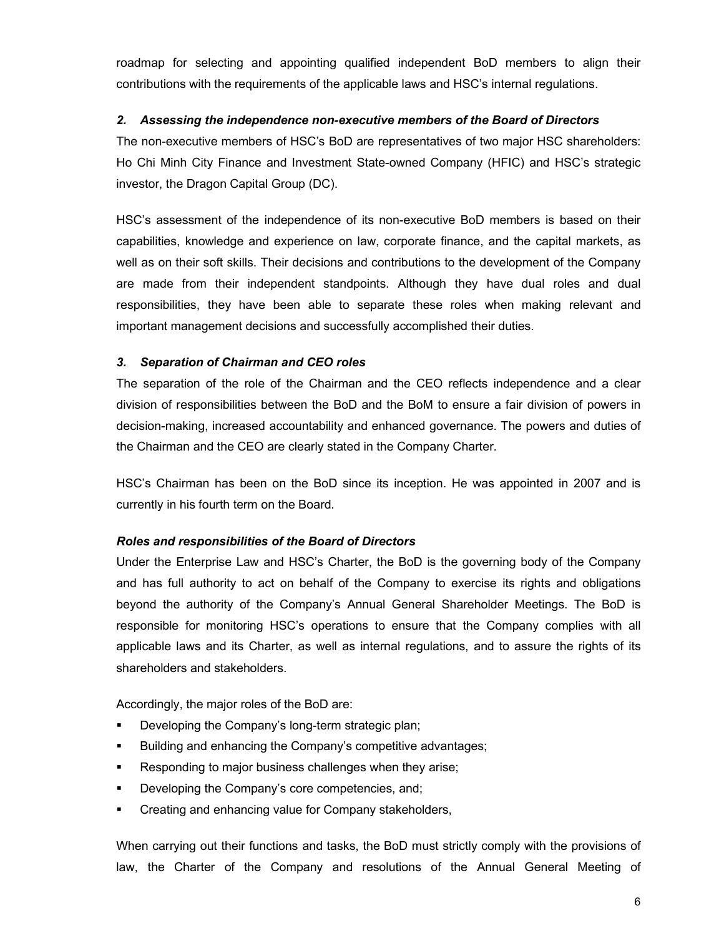roadmap for selecting and appointing qualified independent BoD members to align their contributions with the requirements of the applicable laws and HSC's internal regulations.

## *2. Assessing the independence non-executive members of the Board of Directors*

The non-executive members of HSC's BoD are representatives of two major HSC shareholders: Ho Chi Minh City Finance and Investment State-owned Company (HFIC) and HSC's strategic investor, the Dragon Capital Group (DC).

HSC's assessment of the independence of its non-executive BoD members is based on their capabilities, knowledge and experience on law, corporate finance, and the capital markets, as well as on their soft skills. Their decisions and contributions to the development of the Company are made from their independent standpoints. Although they have dual roles and dual responsibilities, they have been able to separate these roles when making relevant and important management decisions and successfully accomplished their duties.

## *3. Separation of Chairman and CEO roles*

The separation of the role of the Chairman and the CEO reflects independence and a clear division of responsibilities between the BoD and the BoM to ensure a fair division of powers in decision-making, increased accountability and enhanced governance. The powers and duties of the Chairman and the CEO are clearly stated in the Company Charter.

HSC's Chairman has been on the BoD since its inception. He was appointed in 2007 and is currently in his fourth term on the Board.

## *Roles and responsibilities of the Board of Directors*

Under the Enterprise Law and HSC's Charter, the BoD is the governing body of the Company and has full authority to act on behalf of the Company to exercise its rights and obligations beyond the authority of the Company's Annual General Shareholder Meetings. The BoD is responsible for monitoring HSC's operations to ensure that the Company complies with all applicable laws and its Charter, as well as internal regulations, and to assure the rights of its shareholders and stakeholders.

Accordingly, the major roles of the BoD are:

- **Developing the Company's long-term strategic plan;**
- **Building and enhancing the Company's competitive advantages;**
- Responding to major business challenges when they arise;
- Developing the Company's core competencies, and;
- **EXECT** Creating and enhancing value for Company stakeholders,

When carrying out their functions and tasks, the BoD must strictly comply with the provisions of law, the Charter of the Company and resolutions of the Annual General Meeting of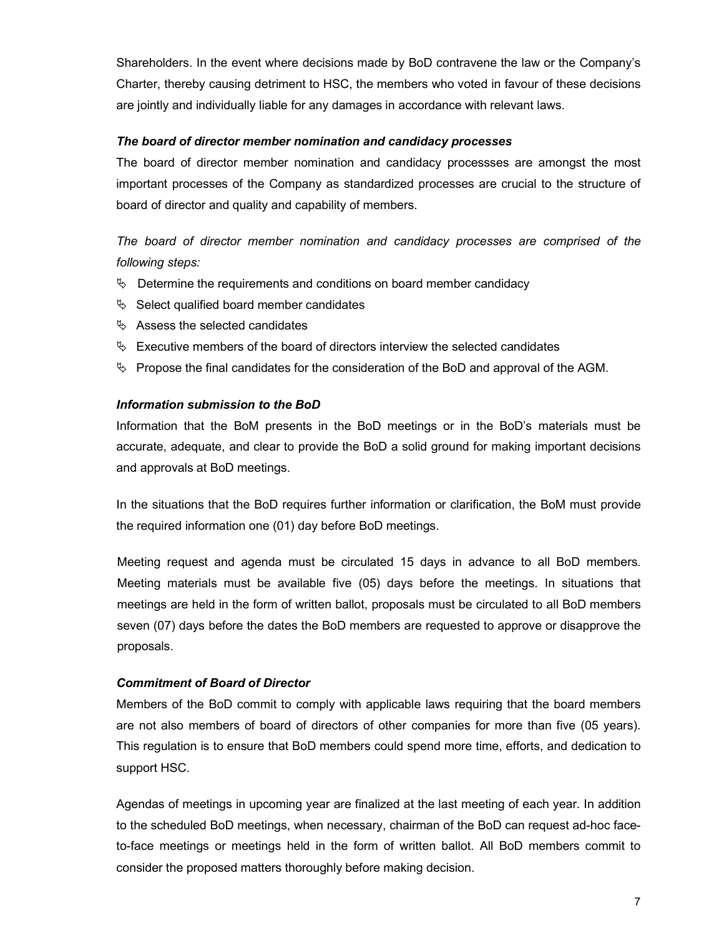Shareholders. In the event where decisions made by BoD contravene the law or the Company's Charter, thereby causing detriment to HSC, the members who voted in favour of these decisions are jointly and individually liable for any damages in accordance with relevant laws.

#### *The board of director member nomination and candidacy processes*

The board of director member nomination and candidacy processses are amongst the most important processes of the Company as standardized processes are crucial to the structure of board of director and quality and capability of members.

*The board of director member nomination and candidacy processes are comprised of the following steps:*

- $\psi$  Determine the requirements and conditions on board member candidacy
- $\&$  Select qualified board member candidates
- $\%$  Assess the selected candidates
- $\&\;$  Executive members of the board of directors interview the selected candidates
- $\%$  Propose the final candidates for the consideration of the BoD and approval of the AGM.

## *Information submission to the BoD*

Information that the BoM presents in the BoD meetings or in the BoD's materials must be accurate, adequate, and clear to provide the BoD a solid ground for making important decisions and approvals at BoD meetings.

In the situations that the BoD requires further information or clarification, the BoM must provide the required information one (01) day before BoD meetings.

Meeting request and agenda must be circulated 15 days in advance to all BoD members. Meeting materials must be available five (05) days before the meetings. In situations that meetings are held in the form of written ballot, proposals must be circulated to all BoD members seven (07) days before the dates the BoD members are requested to approve or disapprove the proposals.

## *Commitment of Board of Director*

Members of the BoD commit to comply with applicable laws requiring that the board members are not also members of board of directors of other companies for more than five (05 years). This regulation is to ensure that BoD members could spend more time, efforts, and dedication to support HSC.

Agendas of meetings in upcoming year are finalized at the last meeting of each year. In addition to the scheduled BoD meetings, when necessary, chairman of the BoD can request ad-hoc faceto-face meetings or meetings held in the form of written ballot. All BoD members commit to consider the proposed matters thoroughly before making decision.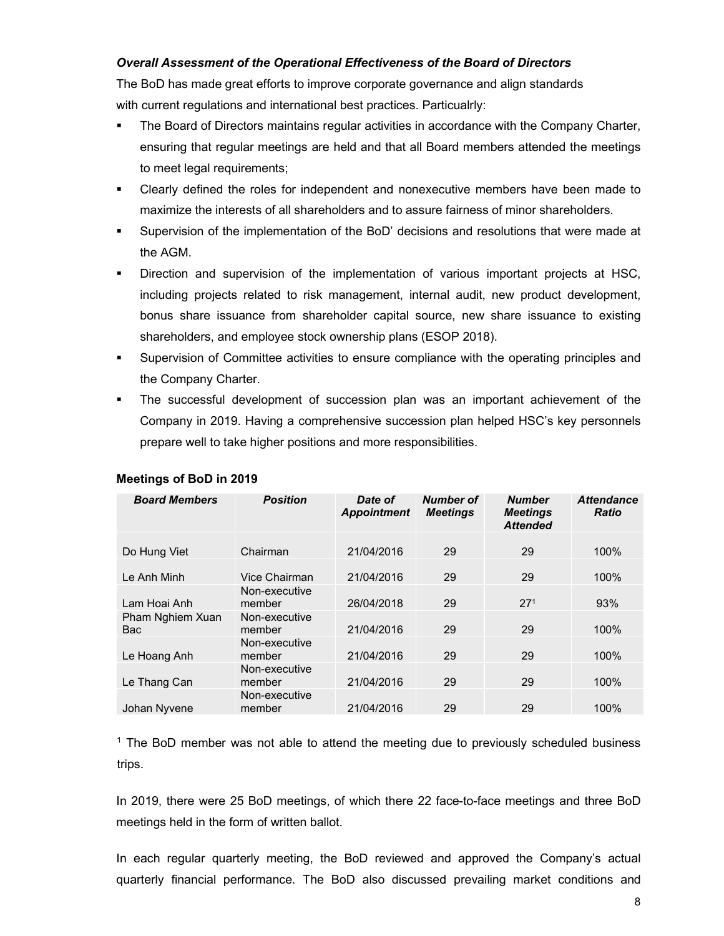## *Overall Assessment of the Operational Effectiveness of the Board of Directors*

The BoD has made great efforts to improve corporate governance and align standards with current regulations and international best practices. Particualrly:

- The Board of Directors maintains regular activities in accordance with the Company Charter, ensuring that regular meetings are held and that all Board members attended the meetings to meet legal requirements;
- Clearly defined the roles for independent and nonexecutive members have been made to maximize the interests of all shareholders and to assure fairness of minor shareholders.
- Supervision of the implementation of the BoD' decisions and resolutions that were made at the AGM.
- Direction and supervision of the implementation of various important projects at HSC, including projects related to risk management, internal audit, new product development, bonus share issuance from shareholder capital source, new share issuance to existing shareholders, and employee stock ownership plans (ESOP 2018).
- Supervision of Committee activities to ensure compliance with the operating principles and the Company Charter.
- The successful development of succession plan was an important achievement of the Company in 2019. Having a comprehensive succession plan helped HSC's key personnels prepare well to take higher positions and more responsibilities.

| <b>Board Members</b>           | <b>Position</b>         | Date of<br><b>Appointment</b> | Number of<br><b>Meetings</b> | <b>Number</b><br><b>Meetings</b><br><b>Attended</b> | <b>Attendance</b><br><b>Ratio</b> |
|--------------------------------|-------------------------|-------------------------------|------------------------------|-----------------------------------------------------|-----------------------------------|
| Do Hung Viet                   | Chairman                | 21/04/2016                    | 29                           | 29                                                  | 100%                              |
| Le Anh Minh                    | Vice Chairman           | 21/04/2016                    | 29                           | 29                                                  | 100%                              |
| Lam Hoai Anh                   | Non-executive<br>member | 26/04/2018                    | 29                           | 27 <sup>1</sup>                                     | 93%                               |
| Pham Nghiem Xuan<br><b>Bac</b> | Non-executive<br>member | 21/04/2016                    | 29                           | 29                                                  | 100%                              |
| Le Hoang Anh                   | Non-executive<br>member | 21/04/2016                    | 29                           | 29                                                  | 100%                              |
| Le Thang Can                   | Non-executive<br>member | 21/04/2016                    | 29                           | 29                                                  | 100%                              |
| Johan Nyvene                   | Non-executive<br>member | 21/04/2016                    | 29                           | 29                                                  | 100%                              |

## **Meetings of BoD in 2019**

<sup>1</sup> The BoD member was not able to attend the meeting due to previously scheduled business trips.

In 2019, there were 25 BoD meetings, of which there 22 face-to-face meetings and three BoD meetings held in the form of written ballot.

In each regular quarterly meeting, the BoD reviewed and approved the Company's actual quarterly financial performance. The BoD also discussed prevailing market conditions and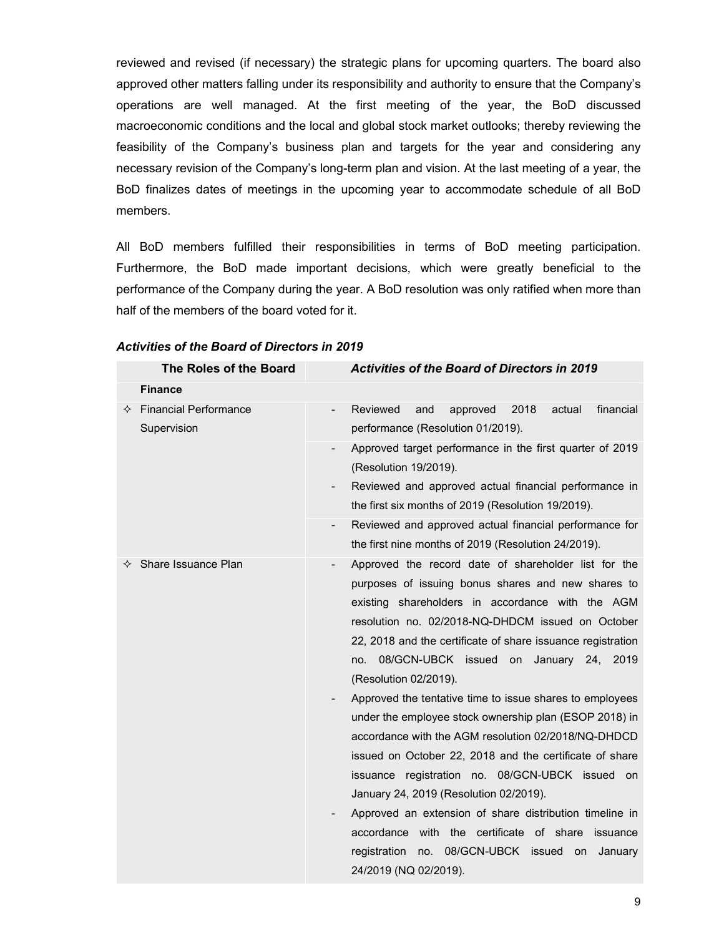reviewed and revised (if necessary) the strategic plans for upcoming quarters. The board also approved other matters falling under its responsibility and authority to ensure that the Company's operations are well managed. At the first meeting of the year, the BoD discussed macroeconomic conditions and the local and global stock market outlooks; thereby reviewing the feasibility of the Company's business plan and targets for the year and considering any necessary revision of the Company's long-term plan and vision. At the last meeting of a year, the BoD finalizes dates of meetings in the upcoming year to accommodate schedule of all BoD members.

All BoD members fulfilled their responsibilities in terms of BoD meeting participation. Furthermore, the BoD made important decisions, which were greatly beneficial to the performance of the Company during the year. A BoD resolution was only ratified when more than half of the members of the board voted for it.

| The Roles of the Board                                 | <b>Activities of the Board of Directors in 2019</b>                                                                                                                                                                                                                                                                                                                                                                                                                                                                                                                                                                                                                                                                                                                                                                                                                                                                                  |
|--------------------------------------------------------|--------------------------------------------------------------------------------------------------------------------------------------------------------------------------------------------------------------------------------------------------------------------------------------------------------------------------------------------------------------------------------------------------------------------------------------------------------------------------------------------------------------------------------------------------------------------------------------------------------------------------------------------------------------------------------------------------------------------------------------------------------------------------------------------------------------------------------------------------------------------------------------------------------------------------------------|
| <b>Finance</b>                                         |                                                                                                                                                                                                                                                                                                                                                                                                                                                                                                                                                                                                                                                                                                                                                                                                                                                                                                                                      |
| $\Leftrightarrow$ Financial Performance<br>Supervision | 2018<br>actual<br>financial<br>Reviewed<br>approved<br>and<br>$\blacksquare$<br>performance (Resolution 01/2019).                                                                                                                                                                                                                                                                                                                                                                                                                                                                                                                                                                                                                                                                                                                                                                                                                    |
|                                                        | Approved target performance in the first quarter of 2019<br>(Resolution 19/2019).<br>Reviewed and approved actual financial performance in<br>the first six months of 2019 (Resolution 19/2019).                                                                                                                                                                                                                                                                                                                                                                                                                                                                                                                                                                                                                                                                                                                                     |
|                                                        | Reviewed and approved actual financial performance for<br>$\overline{\phantom{a}}$<br>the first nine months of 2019 (Resolution 24/2019).                                                                                                                                                                                                                                                                                                                                                                                                                                                                                                                                                                                                                                                                                                                                                                                            |
| $\Leftrightarrow$ Share Issuance Plan                  | Approved the record date of shareholder list for the<br>$\overline{\phantom{a}}$<br>purposes of issuing bonus shares and new shares to<br>existing shareholders in accordance with the AGM<br>resolution no. 02/2018-NQ-DHDCM issued on October<br>22, 2018 and the certificate of share issuance registration<br>08/GCN-UBCK issued on<br>January 24, 2019<br>no.<br>(Resolution 02/2019).<br>Approved the tentative time to issue shares to employees<br>under the employee stock ownership plan (ESOP 2018) in<br>accordance with the AGM resolution 02/2018/NQ-DHDCD<br>issued on October 22, 2018 and the certificate of share<br>issuance registration no. 08/GCN-UBCK issued on<br>January 24, 2019 (Resolution 02/2019).<br>Approved an extension of share distribution timeline in<br>accordance with the certificate of share<br>issuance<br>no. 08/GCN-UBCK issued on<br>registration<br>January<br>24/2019 (NQ 02/2019). |

#### *Activities of the Board of Directors in 2019*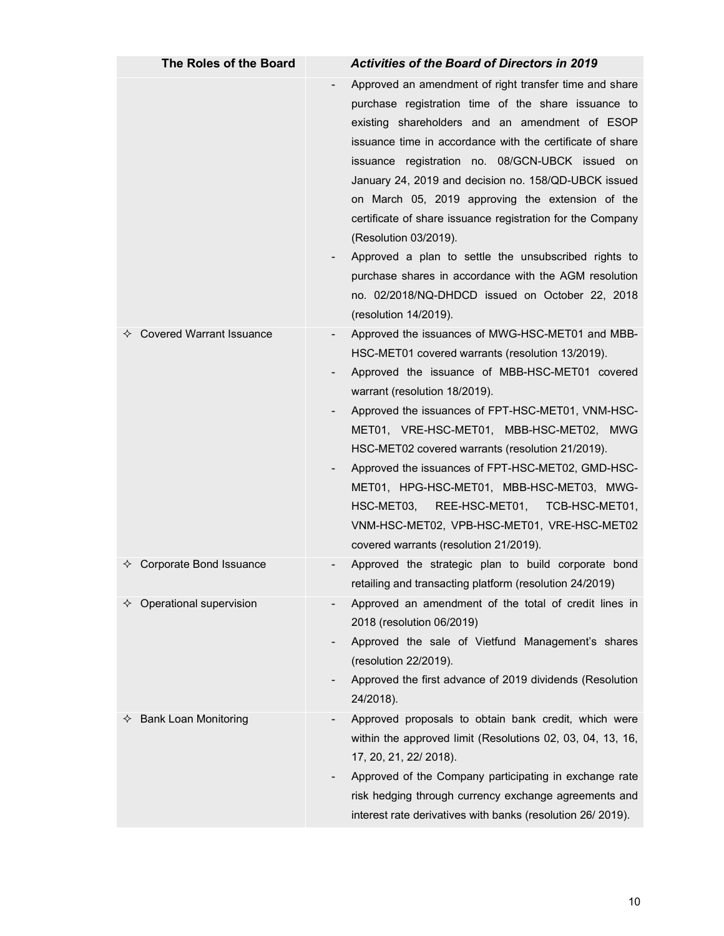| The Roles of the Board              | <b>Activities of the Board of Directors in 2019</b>                                                                                                                                                                                                                                                                                                                                                                                                                                                                                                                                                                                                                             |
|-------------------------------------|---------------------------------------------------------------------------------------------------------------------------------------------------------------------------------------------------------------------------------------------------------------------------------------------------------------------------------------------------------------------------------------------------------------------------------------------------------------------------------------------------------------------------------------------------------------------------------------------------------------------------------------------------------------------------------|
|                                     | Approved an amendment of right transfer time and share<br>purchase registration time of the share issuance to<br>existing shareholders and an amendment of ESOP<br>issuance time in accordance with the certificate of share<br>issuance registration no. 08/GCN-UBCK issued on<br>January 24, 2019 and decision no. 158/QD-UBCK issued<br>on March 05, 2019 approving the extension of the<br>certificate of share issuance registration for the Company<br>(Resolution 03/2019).<br>Approved a plan to settle the unsubscribed rights to<br>purchase shares in accordance with the AGM resolution<br>no. 02/2018/NQ-DHDCD issued on October 22, 2018<br>(resolution 14/2019). |
| $\diamond$ Covered Warrant Issuance | Approved the issuances of MWG-HSC-MET01 and MBB-<br>HSC-MET01 covered warrants (resolution 13/2019).<br>Approved the issuance of MBB-HSC-MET01 covered<br>warrant (resolution 18/2019).<br>Approved the issuances of FPT-HSC-MET01, VNM-HSC-<br>MET01, VRE-HSC-MET01, MBB-HSC-MET02, MWG<br>HSC-MET02 covered warrants (resolution 21/2019).<br>Approved the issuances of FPT-HSC-MET02, GMD-HSC-<br>MET01, HPG-HSC-MET01, MBB-HSC-MET03, MWG-<br>REE-HSC-MET01,<br>HSC-MET03,<br>TCB-HSC-MET01,<br>VNM-HSC-MET02, VPB-HSC-MET01, VRE-HSC-MET02<br>covered warrants (resolution 21/2019).                                                                                       |
| Corporate Bond Issuance<br>✧        | Approved the strategic plan to build corporate bond<br>retailing and transacting platform (resolution 24/2019)                                                                                                                                                                                                                                                                                                                                                                                                                                                                                                                                                                  |
| $\Diamond$ Operational supervision  | Approved an amendment of the total of credit lines in<br>2018 (resolution 06/2019)<br>Approved the sale of Vietfund Management's shares<br>(resolution 22/2019).<br>Approved the first advance of 2019 dividends (Resolution<br>24/2018).                                                                                                                                                                                                                                                                                                                                                                                                                                       |
| <b>Bank Loan Monitoring</b><br>✧    | Approved proposals to obtain bank credit, which were<br>within the approved limit (Resolutions 02, 03, 04, 13, 16,<br>17, 20, 21, 22/ 2018).<br>Approved of the Company participating in exchange rate<br>risk hedging through currency exchange agreements and<br>interest rate derivatives with banks (resolution 26/2019).                                                                                                                                                                                                                                                                                                                                                   |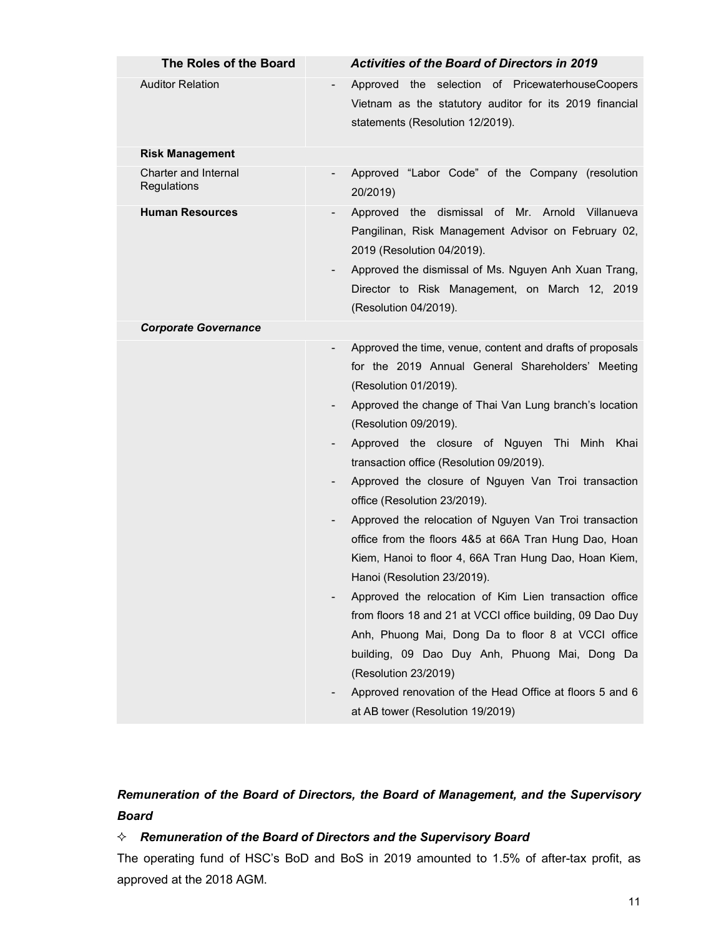| The Roles of the Board                     | <b>Activities of the Board of Directors in 2019</b>                                                                                                                                                                                                                                                                                                                                                                                                                                                                                                                                                                                                                                                                                                                                                                                                                                                                                                                                                        |
|--------------------------------------------|------------------------------------------------------------------------------------------------------------------------------------------------------------------------------------------------------------------------------------------------------------------------------------------------------------------------------------------------------------------------------------------------------------------------------------------------------------------------------------------------------------------------------------------------------------------------------------------------------------------------------------------------------------------------------------------------------------------------------------------------------------------------------------------------------------------------------------------------------------------------------------------------------------------------------------------------------------------------------------------------------------|
| <b>Auditor Relation</b>                    | Approved the selection of PricewaterhouseCoopers<br>Vietnam as the statutory auditor for its 2019 financial<br>statements (Resolution 12/2019).                                                                                                                                                                                                                                                                                                                                                                                                                                                                                                                                                                                                                                                                                                                                                                                                                                                            |
| <b>Risk Management</b>                     |                                                                                                                                                                                                                                                                                                                                                                                                                                                                                                                                                                                                                                                                                                                                                                                                                                                                                                                                                                                                            |
| <b>Charter and Internal</b><br>Regulations | Approved "Labor Code" of the Company (resolution<br>20/2019)                                                                                                                                                                                                                                                                                                                                                                                                                                                                                                                                                                                                                                                                                                                                                                                                                                                                                                                                               |
| <b>Human Resources</b>                     | Approved the dismissal of Mr. Arnold Villanueva<br>Pangilinan, Risk Management Advisor on February 02,<br>2019 (Resolution 04/2019).<br>Approved the dismissal of Ms. Nguyen Anh Xuan Trang,<br>Director to Risk Management, on March 12, 2019<br>(Resolution 04/2019).                                                                                                                                                                                                                                                                                                                                                                                                                                                                                                                                                                                                                                                                                                                                    |
| <b>Corporate Governance</b>                |                                                                                                                                                                                                                                                                                                                                                                                                                                                                                                                                                                                                                                                                                                                                                                                                                                                                                                                                                                                                            |
|                                            | Approved the time, venue, content and drafts of proposals<br>for the 2019 Annual General Shareholders' Meeting<br>(Resolution 01/2019).<br>Approved the change of Thai Van Lung branch's location<br>(Resolution 09/2019).<br>Approved the closure of Nguyen Thi Minh Khai<br>transaction office (Resolution 09/2019).<br>Approved the closure of Nguyen Van Troi transaction<br>office (Resolution 23/2019).<br>Approved the relocation of Nguyen Van Troi transaction<br>office from the floors 4&5 at 66A Tran Hung Dao, Hoan<br>Kiem, Hanoi to floor 4, 66A Tran Hung Dao, Hoan Kiem,<br>Hanoi (Resolution 23/2019).<br>Approved the relocation of Kim Lien transaction office<br>$\overline{\phantom{a}}$<br>from floors 18 and 21 at VCCI office building, 09 Dao Duy<br>Anh, Phuong Mai, Dong Da to floor 8 at VCCI office<br>building, 09 Dao Duy Anh, Phuong Mai, Dong Da<br>(Resolution 23/2019)<br>Approved renovation of the Head Office at floors 5 and 6<br>at AB tower (Resolution 19/2019) |

# *Remuneration of the Board of Directors, the Board of Management, and the Supervisory Board*

# *Remuneration of the Board of Directors and the Supervisory Board*

The operating fund of HSC's BoD and BoS in 2019 amounted to 1.5% of after-tax profit, as approved at the 2018 AGM.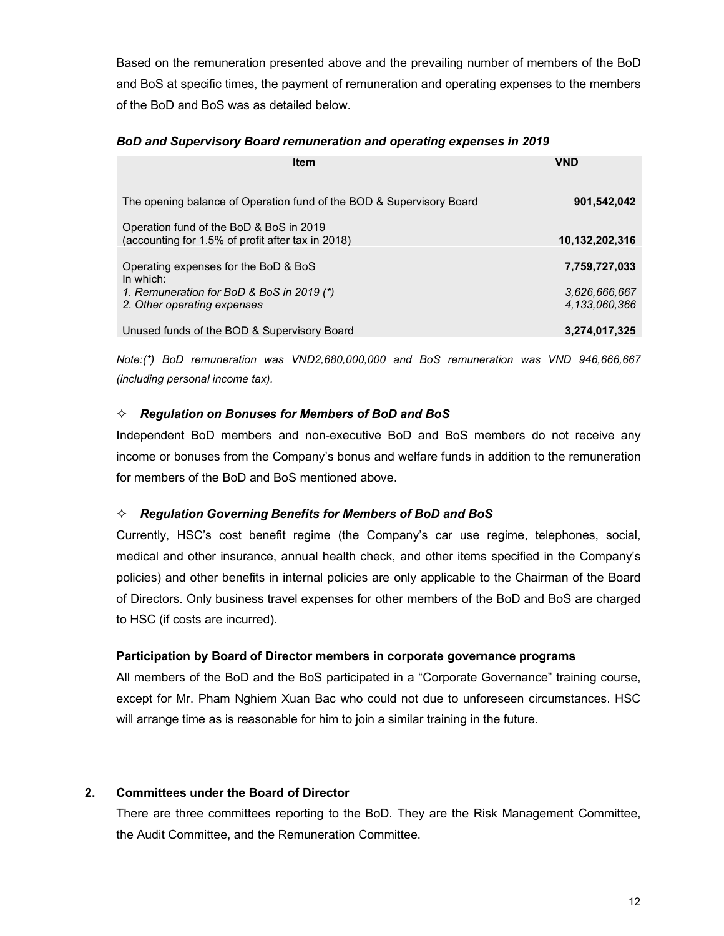Based on the remuneration presented above and the prevailing number of members of the BoD and BoS at specific times, the payment of remuneration and operating expenses to the members of the BoD and BoS was as detailed below.

#### *BoD and Supervisory Board remuneration and operating expenses in 2019*

| <b>Item</b>                                                                                  | <b>VND</b>                     |
|----------------------------------------------------------------------------------------------|--------------------------------|
| The opening balance of Operation fund of the BOD & Supervisory Board                         | 901,542,042                    |
| Operation fund of the BoD & BoS in 2019<br>(accounting for 1.5% of profit after tax in 2018) | 10,132,202,316                 |
| Operating expenses for the BoD & BoS<br>In which:                                            | 7,759,727,033                  |
| 1. Remuneration for BoD & BoS in 2019 (*)<br>2. Other operating expenses                     | 3.626.666.667<br>4.133.060.366 |
| Unused funds of the BOD & Supervisory Board                                                  | 3.274.017.325                  |

*Note:(\*) BoD remuneration was VND2,680,000,000 and BoS remuneration was VND 946,666,667 (including personal income tax).*

## *Regulation on Bonuses for Members of BoD and BoS*

Independent BoD members and non-executive BoD and BoS members do not receive any income or bonuses from the Company's bonus and welfare funds in addition to the remuneration for members of the BoD and BoS mentioned above.

## *Regulation Governing Benefits for Members of BoD and BoS*

Currently, HSC's cost benefit regime (the Company's car use regime, telephones, social, medical and other insurance, annual health check, and other items specified in the Company's policies) and other benefits in internal policies are only applicable to the Chairman of the Board of Directors. Only business travel expenses for other members of the BoD and BoS are charged to HSC (if costs are incurred).

## **Participation by Board of Director members in corporate governance programs**

All members of the BoD and the BoS participated in a "Corporate Governance" training course, except for Mr. Pham Nghiem Xuan Bac who could not due to unforeseen circumstances. HSC will arrange time as is reasonable for him to join a similar training in the future.

## **2. Committees under the Board of Director**

There are three committees reporting to the BoD. They are the Risk Management Committee, the Audit Committee, and the Remuneration Committee.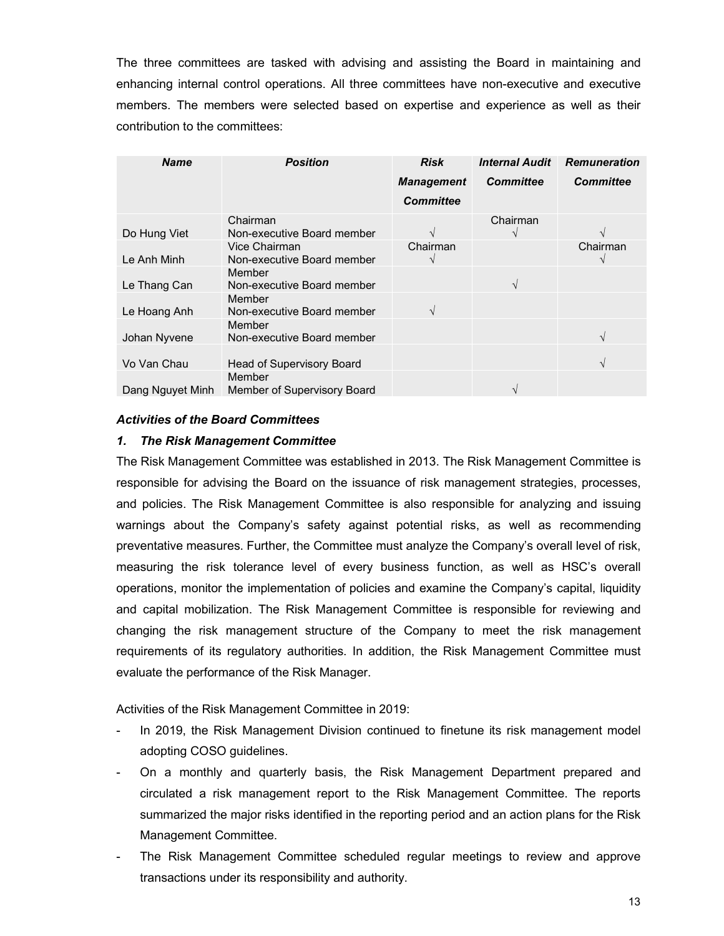The three committees are tasked with advising and assisting the Board in maintaining and enhancing internal control operations. All three committees have non-executive and executive members. The members were selected based on expertise and experience as well as their contribution to the committees:

| <b>Name</b>      | <b>Position</b>                             | <b>Risk</b><br><b>Management</b><br><b>Committee</b> | <b>Internal Audit</b><br><b>Committee</b> | <b>Remuneration</b><br><b>Committee</b> |
|------------------|---------------------------------------------|------------------------------------------------------|-------------------------------------------|-----------------------------------------|
| Do Hung Viet     | Chairman<br>Non-executive Board member      | $\sim$                                               | Chairman                                  | $\sim$                                  |
| Le Anh Minh      | Vice Chairman<br>Non-executive Board member | Chairman<br>$\mathcal{L}$                            |                                           | Chairman                                |
| Le Thang Can     | Member<br>Non-executive Board member        |                                                      | $\sqrt{ }$                                |                                         |
| Le Hoang Anh     | Member<br>Non-executive Board member        |                                                      |                                           |                                         |
| Johan Nyvene     | Member<br>Non-executive Board member        |                                                      |                                           | $\sqrt{ }$                              |
| Vo Van Chau      | <b>Head of Supervisory Board</b>            |                                                      |                                           | $\mathcal{N}$                           |
| Dang Nguyet Minh | Member<br>Member of Supervisory Board       |                                                      |                                           |                                         |

#### *Activities of the Board Committees*

#### *1. The Risk Management Committee*

The Risk Management Committee was established in 2013. The Risk Management Committee is responsible for advising the Board on the issuance of risk management strategies, processes, and policies. The Risk Management Committee is also responsible for analyzing and issuing warnings about the Company's safety against potential risks, as well as recommending preventative measures. Further, the Committee must analyze the Company's overall level of risk, measuring the risk tolerance level of every business function, as well as HSC's overall operations, monitor the implementation of policies and examine the Company's capital, liquidity and capital mobilization. The Risk Management Committee is responsible for reviewing and changing the risk management structure of the Company to meet the risk management requirements of its regulatory authorities. In addition, the Risk Management Committee must evaluate the performance of the Risk Manager.

Activities of the Risk Management Committee in 2019:

- In 2019, the Risk Management Division continued to finetune its risk management model adopting COSO guidelines.
- On a monthly and quarterly basis, the Risk Management Department prepared and circulated a risk management report to the Risk Management Committee. The reports summarized the major risks identified in the reporting period and an action plans for the Risk Management Committee.
- The Risk Management Committee scheduled regular meetings to review and approve transactions under its responsibility and authority.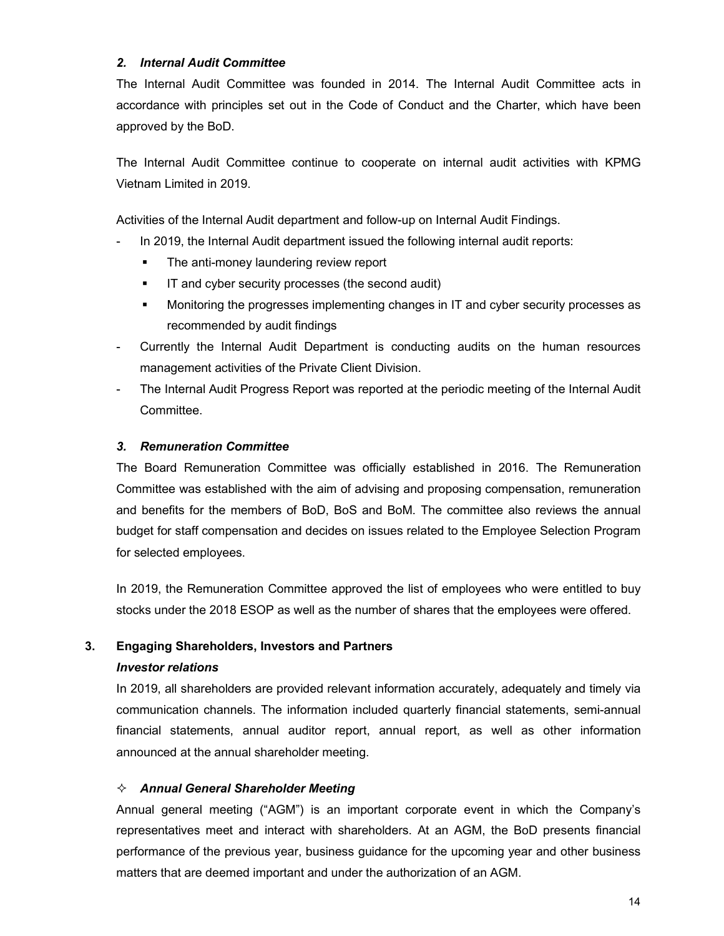## *2. Internal Audit Committee*

The Internal Audit Committee was founded in 2014. The Internal Audit Committee acts in accordance with principles set out in the Code of Conduct and the Charter, which have been approved by the BoD.

The Internal Audit Committee continue to cooperate on internal audit activities with KPMG Vietnam Limited in 2019.

Activities of the Internal Audit department and follow-up on Internal Audit Findings.

- In 2019, the Internal Audit department issued the following internal audit reports:
	- The anti-money laundering review report
	- **If and cyber security processes (the second audit)**
	- **Monitoring the progresses implementing changes in IT and cyber security processes as** recommended by audit findings
- Currently the Internal Audit Department is conducting audits on the human resources management activities of the Private Client Division.
- The Internal Audit Progress Report was reported at the periodic meeting of the Internal Audit Committee.

## *3. Remuneration Committee*

The Board Remuneration Committee was officially established in 2016. The Remuneration Committee was established with the aim of advising and proposing compensation, remuneration and benefits for the members of BoD, BoS and BoM. The committee also reviews the annual budget for staff compensation and decides on issues related to the Employee Selection Program for selected employees.

In 2019, the Remuneration Committee approved the list of employees who were entitled to buy stocks under the 2018 ESOP as well as the number of shares that the employees were offered.

## **3. Engaging Shareholders, Investors and Partners**

## *Investor relations*

In 2019, all shareholders are provided relevant information accurately, adequately and timely via communication channels. The information included quarterly financial statements, semi-annual financial statements, annual auditor report, annual report, as well as other information announced at the annual shareholder meeting.

## *Annual General Shareholder Meeting*

Annual general meeting ("AGM") is an important corporate event in which the Company's representatives meet and interact with shareholders. At an AGM, the BoD presents financial performance of the previous year, business guidance for the upcoming year and other business matters that are deemed important and under the authorization of an AGM.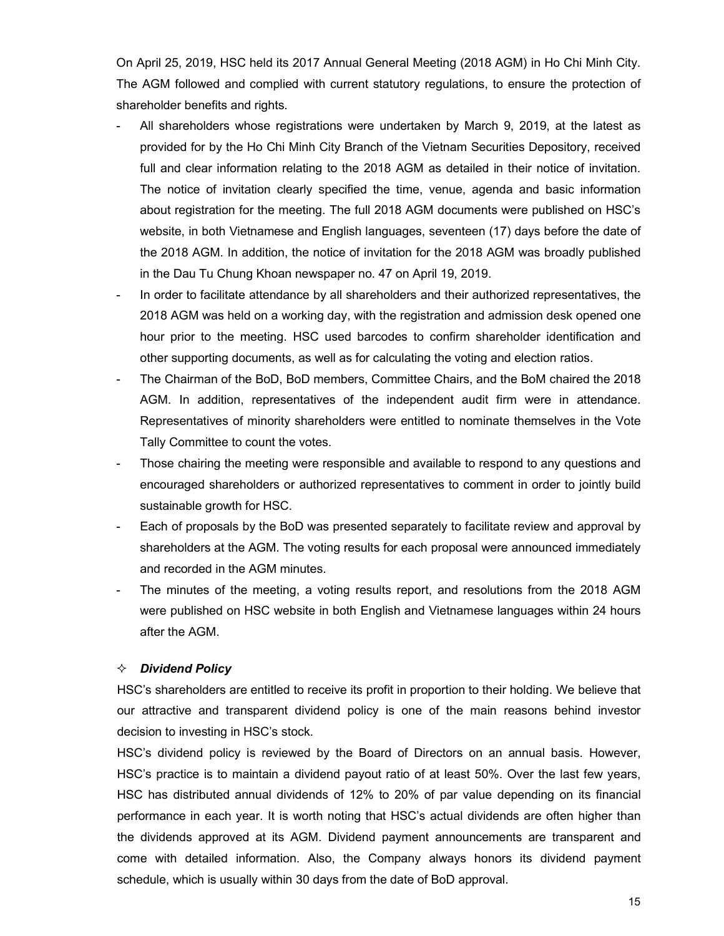On April 25, 2019, HSC held its 2017 Annual General Meeting (2018 AGM) in Ho Chi Minh City. The AGM followed and complied with current statutory regulations, to ensure the protection of shareholder benefits and rights.

- All shareholders whose registrations were undertaken by March 9, 2019, at the latest as provided for by the Ho Chi Minh City Branch of the Vietnam Securities Depository, received full and clear information relating to the 2018 AGM as detailed in their notice of invitation. The notice of invitation clearly specified the time, venue, agenda and basic information about registration for the meeting. The full 2018 AGM documents were published on HSC's website, in both Vietnamese and English languages, seventeen (17) days before the date of the 2018 AGM. In addition, the notice of invitation for the 2018 AGM was broadly published in the Dau Tu Chung Khoan newspaper no. 47 on April 19, 2019.
- In order to facilitate attendance by all shareholders and their authorized representatives, the 2018 AGM was held on a working day, with the registration and admission desk opened one hour prior to the meeting. HSC used barcodes to confirm shareholder identification and other supporting documents, as well as for calculating the voting and election ratios.
- The Chairman of the BoD, BoD members, Committee Chairs, and the BoM chaired the 2018 AGM. In addition, representatives of the independent audit firm were in attendance. Representatives of minority shareholders were entitled to nominate themselves in the Vote Tally Committee to count the votes.
- Those chairing the meeting were responsible and available to respond to any questions and encouraged shareholders or authorized representatives to comment in order to jointly build sustainable growth for HSC.
- Each of proposals by the BoD was presented separately to facilitate review and approval by shareholders at the AGM. The voting results for each proposal were announced immediately and recorded in the AGM minutes.
- The minutes of the meeting, a voting results report, and resolutions from the 2018 AGM were published on HSC website in both English and Vietnamese languages within 24 hours after the AGM.

#### *Dividend Policy*

HSC's shareholders are entitled to receive its profit in proportion to their holding. We believe that our attractive and transparent dividend policy is one of the main reasons behind investor decision to investing in HSC's stock.

HSC's dividend policy is reviewed by the Board of Directors on an annual basis. However, HSC's practice is to maintain a dividend payout ratio of at least 50%. Over the last few years, HSC has distributed annual dividends of 12% to 20% of par value depending on its financial performance in each year. It is worth noting that HSC's actual dividends are often higher than the dividends approved at its AGM. Dividend payment announcements are transparent and come with detailed information. Also, the Company always honors its dividend payment schedule, which is usually within 30 days from the date of BoD approval.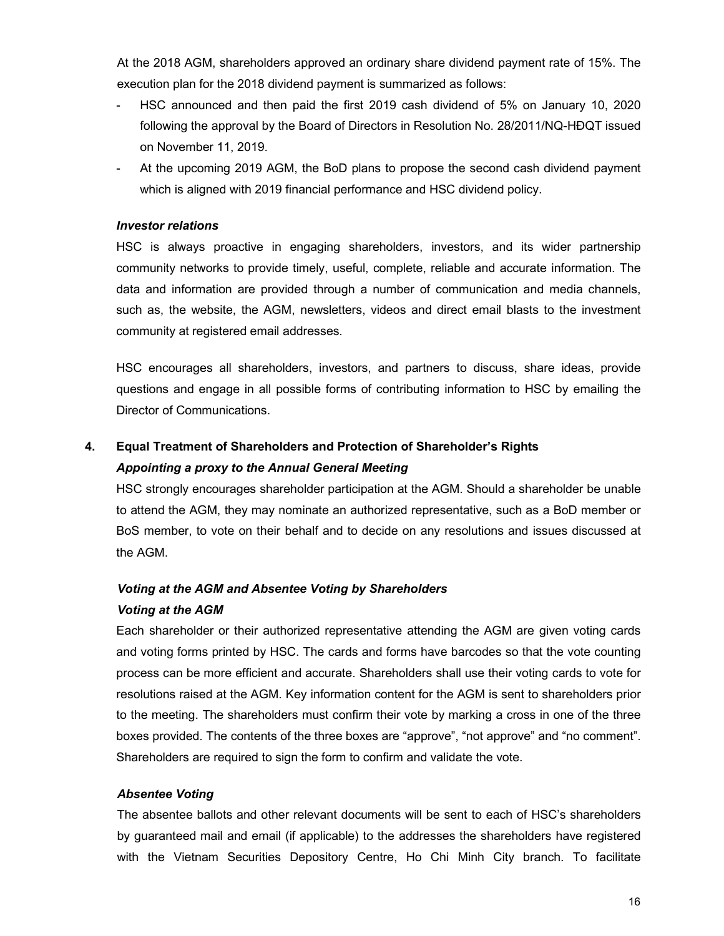At the 2018 AGM, shareholders approved an ordinary share dividend payment rate of 15%. The execution plan for the 2018 dividend payment is summarized as follows:

- HSC announced and then paid the first 2019 cash dividend of 5% on January 10, 2020 following the approval by the Board of Directors in Resolution No. 28/2011/NQ-HĐQT issued on November 11, 2019.
- At the upcoming 2019 AGM, the BoD plans to propose the second cash dividend payment which is aligned with 2019 financial performance and HSC dividend policy.

## *Investor relations*

HSC is always proactive in engaging shareholders, investors, and its wider partnership community networks to provide timely, useful, complete, reliable and accurate information. The data and information are provided through a number of communication and media channels, such as, the website, the AGM, newsletters, videos and direct email blasts to the investment community at registered email addresses.

HSC encourages all shareholders, investors, and partners to discuss, share ideas, provide questions and engage in all possible forms of contributing information to HSC by emailing the Director of Communications.

# **4. Equal Treatment of Shareholders and Protection of Shareholder's Rights** *Appointing a proxy to the Annual General Meeting*

HSC strongly encourages shareholder participation at the AGM. Should a shareholder be unable to attend the AGM, they may nominate an authorized representative, such as a BoD member or BoS member, to vote on their behalf and to decide on any resolutions and issues discussed at the AGM.

# *Voting at the AGM and Absentee Voting by Shareholders*

## *Voting at the AGM*

Each shareholder or their authorized representative attending the AGM are given voting cards and voting forms printed by HSC. The cards and forms have barcodes so that the vote counting process can be more efficient and accurate. Shareholders shall use their voting cards to vote for resolutions raised at the AGM. Key information content for the AGM is sent to shareholders prior to the meeting. The shareholders must confirm their vote by marking a cross in one of the three boxes provided. The contents of the three boxes are "approve", "not approve" and "no comment". Shareholders are required to sign the form to confirm and validate the vote.

## *Absentee Voting*

The absentee ballots and other relevant documents will be sent to each of HSC's shareholders by guaranteed mail and email (if applicable) to the addresses the shareholders have registered with the Vietnam Securities Depository Centre, Ho Chi Minh City branch. To facilitate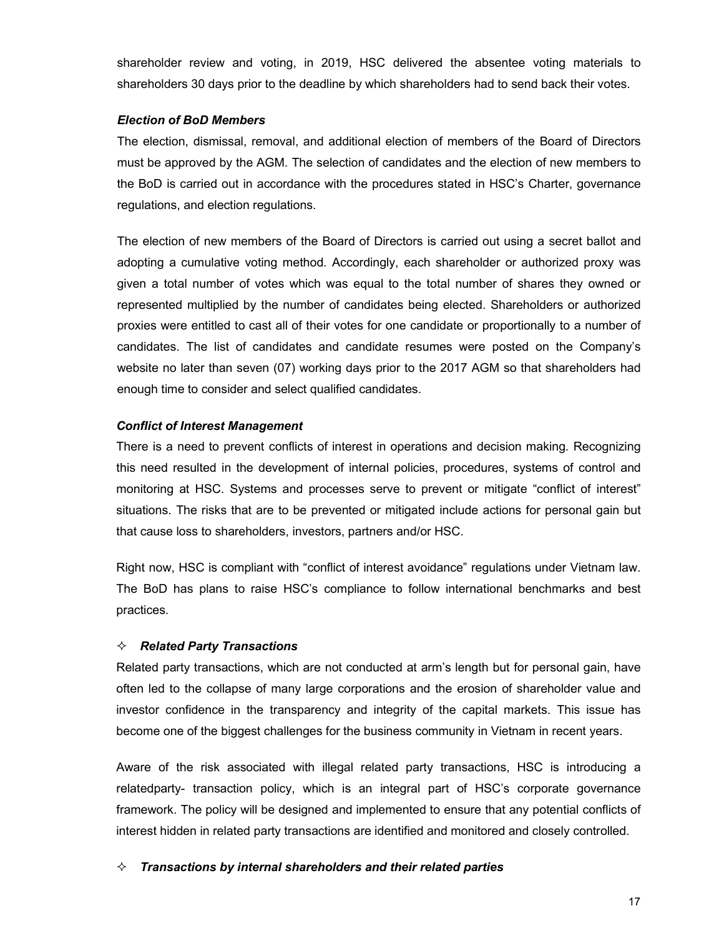shareholder review and voting, in 2019, HSC delivered the absentee voting materials to shareholders 30 days prior to the deadline by which shareholders had to send back their votes.

## *Election of BoD Members*

The election, dismissal, removal, and additional election of members of the Board of Directors must be approved by the AGM. The selection of candidates and the election of new members to the BoD is carried out in accordance with the procedures stated in HSC's Charter, governance regulations, and election regulations.

The election of new members of the Board of Directors is carried out using a secret ballot and adopting a cumulative voting method. Accordingly, each shareholder or authorized proxy was given a total number of votes which was equal to the total number of shares they owned or represented multiplied by the number of candidates being elected. Shareholders or authorized proxies were entitled to cast all of their votes for one candidate or proportionally to a number of candidates. The list of candidates and candidate resumes were posted on the Company's website no later than seven (07) working days prior to the 2017 AGM so that shareholders had enough time to consider and select qualified candidates.

## *Conflict of Interest Management*

There is a need to prevent conflicts of interest in operations and decision making. Recognizing this need resulted in the development of internal policies, procedures, systems of control and monitoring at HSC. Systems and processes serve to prevent or mitigate "conflict of interest" situations. The risks that are to be prevented or mitigated include actions for personal gain but that cause loss to shareholders, investors, partners and/or HSC.

Right now, HSC is compliant with "conflict of interest avoidance" regulations under Vietnam law. The BoD has plans to raise HSC's compliance to follow international benchmarks and best practices.

## *☆* Related Party Transactions

Related party transactions, which are not conducted at arm's length but for personal gain, have often led to the collapse of many large corporations and the erosion of shareholder value and investor confidence in the transparency and integrity of the capital markets. This issue has become one of the biggest challenges for the business community in Vietnam in recent years.

Aware of the risk associated with illegal related party transactions, HSC is introducing a relatedparty- transaction policy, which is an integral part of HSC's corporate governance framework. The policy will be designed and implemented to ensure that any potential conflicts of interest hidden in related party transactions are identified and monitored and closely controlled.

## *Transactions by internal shareholders and their related parties*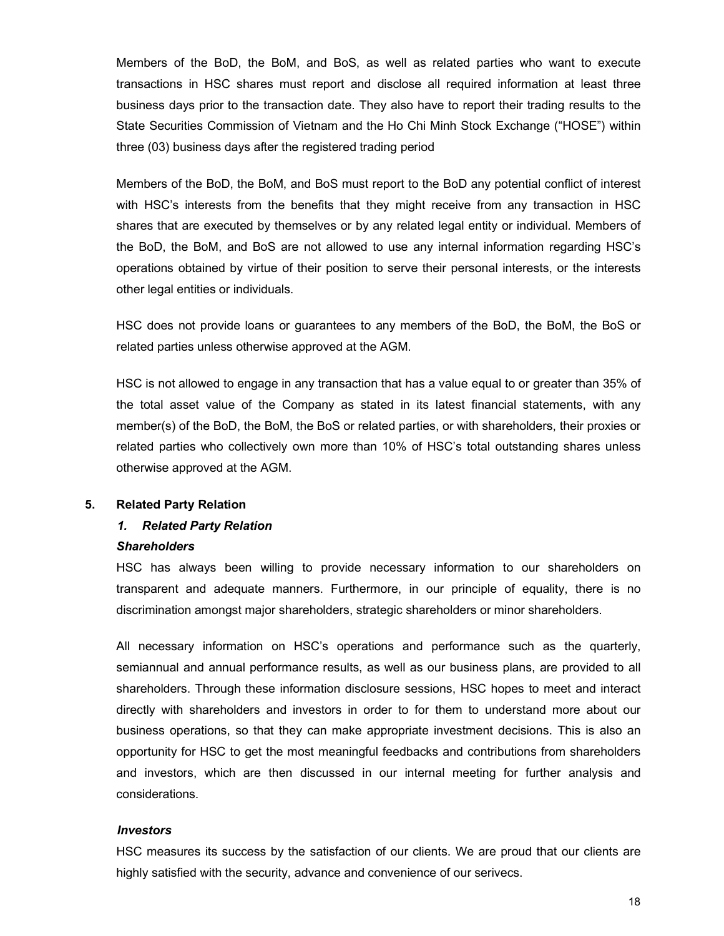Members of the BoD, the BoM, and BoS, as well as related parties who want to execute transactions in HSC shares must report and disclose all required information at least three business days prior to the transaction date. They also have to report their trading results to the State Securities Commission of Vietnam and the Ho Chi Minh Stock Exchange ("HOSE") within three (03) business days after the registered trading period

Members of the BoD, the BoM, and BoS must report to the BoD any potential conflict of interest with HSC's interests from the benefits that they might receive from any transaction in HSC shares that are executed by themselves or by any related legal entity or individual. Members of the BoD, the BoM, and BoS are not allowed to use any internal information regarding HSC's operations obtained by virtue of their position to serve their personal interests, or the interests other legal entities or individuals.

HSC does not provide loans or guarantees to any members of the BoD, the BoM, the BoS or related parties unless otherwise approved at the AGM.

HSC is not allowed to engage in any transaction that has a value equal to or greater than 35% of the total asset value of the Company as stated in its latest financial statements, with any member(s) of the BoD, the BoM, the BoS or related parties, or with shareholders, their proxies or related parties who collectively own more than 10% of HSC's total outstanding shares unless otherwise approved at the AGM.

#### **5. Related Party Relation**

#### *1. Related Party Relation*

#### *Shareholders*

HSC has always been willing to provide necessary information to our shareholders on transparent and adequate manners. Furthermore, in our principle of equality, there is no discrimination amongst major shareholders, strategic shareholders or minor shareholders.

All necessary information on HSC's operations and performance such as the quarterly, semiannual and annual performance results, as well as our business plans, are provided to all shareholders. Through these information disclosure sessions, HSC hopes to meet and interact directly with shareholders and investors in order to for them to understand more about our business operations, so that they can make appropriate investment decisions. This is also an opportunity for HSC to get the most meaningful feedbacks and contributions from shareholders and investors, which are then discussed in our internal meeting for further analysis and considerations.

#### *Investors*

HSC measures its success by the satisfaction of our clients. We are proud that our clients are highly satisfied with the security, advance and convenience of our serivecs.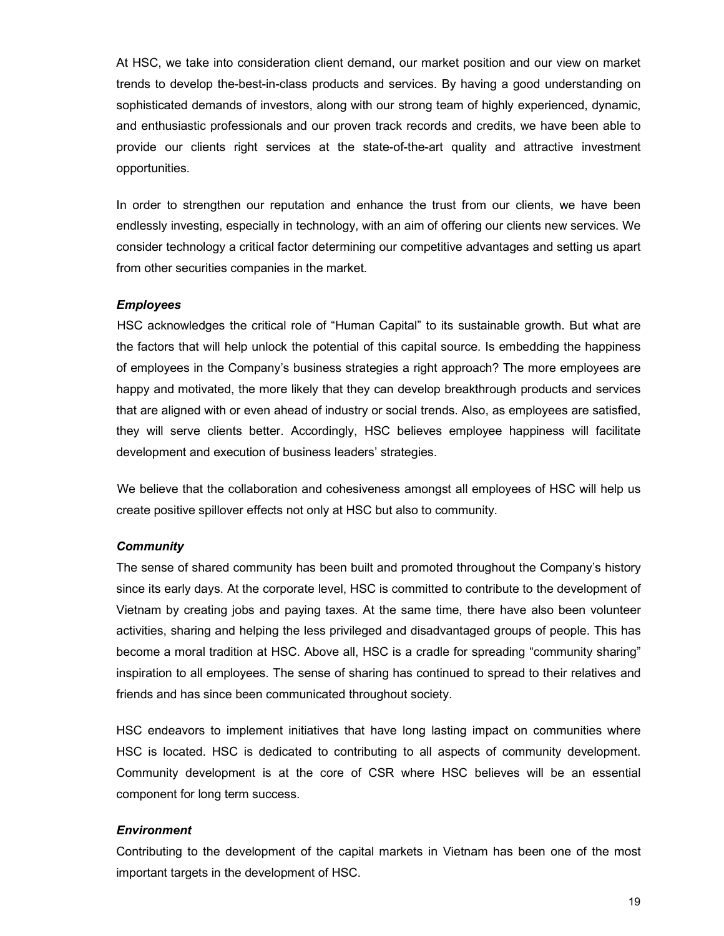At HSC, we take into consideration client demand, our market position and our view on market trends to develop the-best-in-class products and services. By having a good understanding on sophisticated demands of investors, along with our strong team of highly experienced, dynamic, and enthusiastic professionals and our proven track records and credits, we have been able to provide our clients right services at the state-of-the-art quality and attractive investment opportunities.

In order to strengthen our reputation and enhance the trust from our clients, we have been endlessly investing, especially in technology, with an aim of offering our clients new services. We consider technology a critical factor determining our competitive advantages and setting us apart from other securities companies in the market.

#### *Employees*

HSC acknowledges the critical role of "Human Capital" to its sustainable growth. But what are the factors that will help unlock the potential of this capital source. Is embedding the happiness of employees in the Company's business strategies a right approach? The more employees are happy and motivated, the more likely that they can develop breakthrough products and services that are aligned with or even ahead of industry or social trends. Also, as employees are satisfied, they will serve clients better. Accordingly, HSC believes employee happiness will facilitate development and execution of business leaders' strategies.

We believe that the collaboration and cohesiveness amongst all employees of HSC will help us create positive spillover effects not only at HSC but also to community.

## *Community*

The sense of shared community has been built and promoted throughout the Company's history since its early days. At the corporate level, HSC is committed to contribute to the development of Vietnam by creating jobs and paying taxes. At the same time, there have also been volunteer activities, sharing and helping the less privileged and disadvantaged groups of people. This has become a moral tradition at HSC. Above all, HSC is a cradle for spreading "community sharing" inspiration to all employees. The sense of sharing has continued to spread to their relatives and friends and has since been communicated throughout society.

HSC endeavors to implement initiatives that have long lasting impact on communities where HSC is located. HSC is dedicated to contributing to all aspects of community development. Community development is at the core of CSR where HSC believes will be an essential component for long term success.

#### *Environment*

Contributing to the development of the capital markets in Vietnam has been one of the most important targets in the development of HSC.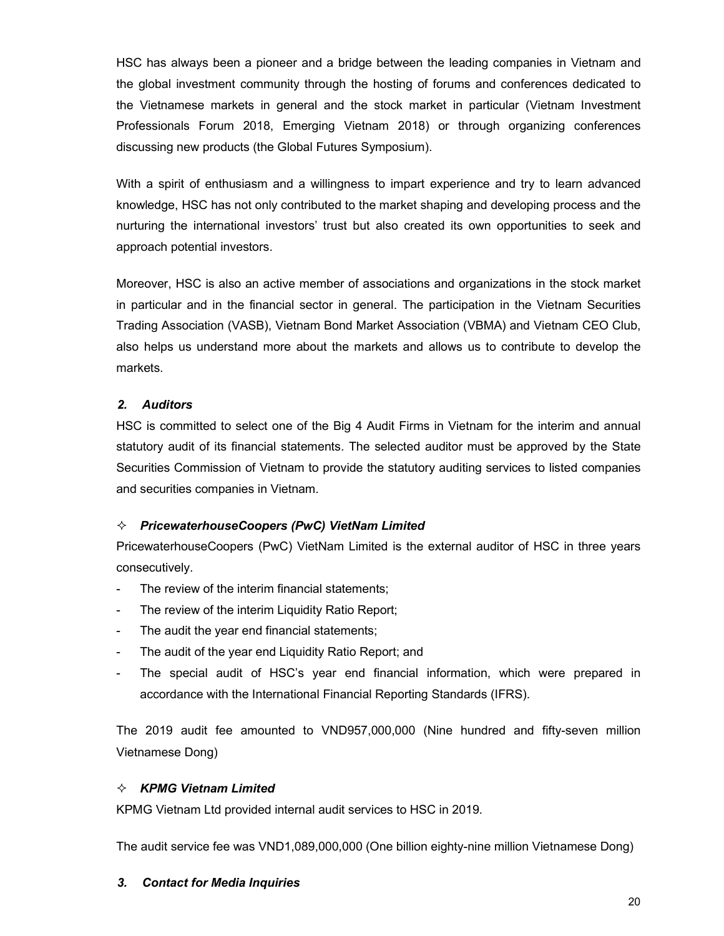HSC has always been a pioneer and a bridge between the leading companies in Vietnam and the global investment community through the hosting of forums and conferences dedicated to the Vietnamese markets in general and the stock market in particular (Vietnam Investment Professionals Forum 2018, Emerging Vietnam 2018) or through organizing conferences discussing new products (the Global Futures Symposium).

With a spirit of enthusiasm and a willingness to impart experience and try to learn advanced knowledge, HSC has not only contributed to the market shaping and developing process and the nurturing the international investors' trust but also created its own opportunities to seek and approach potential investors.

Moreover, HSC is also an active member of associations and organizations in the stock market in particular and in the financial sector in general. The participation in the Vietnam Securities Trading Association (VASB), Vietnam Bond Market Association (VBMA) and Vietnam CEO Club, also helps us understand more about the markets and allows us to contribute to develop the markets.

## *2. Auditors*

HSC is committed to select one of the Big 4 Audit Firms in Vietnam for the interim and annual statutory audit of its financial statements. The selected auditor must be approved by the State Securities Commission of Vietnam to provide the statutory auditing services to listed companies and securities companies in Vietnam.

## *PricewaterhouseCoopers (PwC) VietNam Limited*

PricewaterhouseCoopers (PwC) VietNam Limited is the external auditor of HSC in three years consecutively.

- The review of the interim financial statements;
- The review of the interim Liquidity Ratio Report;
- The audit the year end financial statements;
- The audit of the year end Liquidity Ratio Report; and
- The special audit of HSC's year end financial information, which were prepared in accordance with the International Financial Reporting Standards (IFRS).

The 2019 audit fee amounted to VND957,000,000 (Nine hundred and fifty-seven million Vietnamese Dong)

## *KPMG Vietnam Limited*

KPMG Vietnam Ltd provided internal audit services to HSC in 2019.

The audit service fee was VND1,089,000,000 (One billion eighty-nine million Vietnamese Dong)

## *3. Contact for Media Inquiries*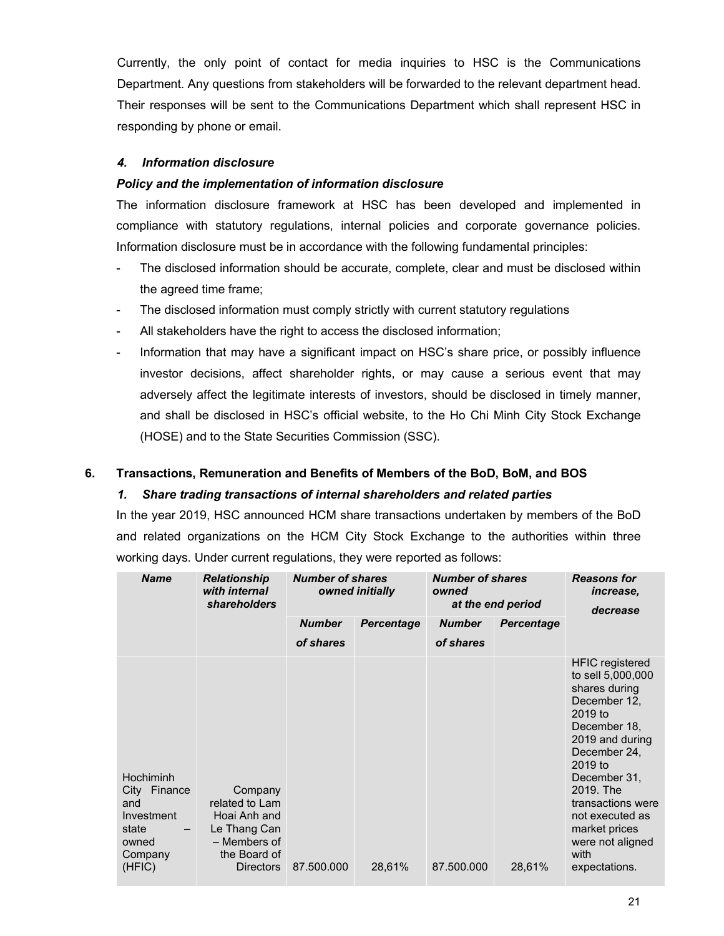Currently, the only point of contact for media inquiries to HSC is the Communications Department. Any questions from stakeholders will be forwarded to the relevant department head. Their responses will be sent to the Communications Department which shall represent HSC in responding by phone or email.

## *4. Information disclosure*

## *Policy and the implementation of information disclosure*

The information disclosure framework at HSC has been developed and implemented in compliance with statutory regulations, internal policies and corporate governance policies. Information disclosure must be in accordance with the following fundamental principles:

- The disclosed information should be accurate, complete, clear and must be disclosed within the agreed time frame;
- The disclosed information must comply strictly with current statutory regulations
- All stakeholders have the right to access the disclosed information;
- Information that may have a significant impact on HSC's share price, or possibly influence investor decisions, affect shareholder rights, or may cause a serious event that may adversely affect the legitimate interests of investors, should be disclosed in timely manner, and shall be disclosed in HSC's official website, to the Ho Chi Minh City Stock Exchange (HOSE) and to the State Securities Commission (SSC).

## **6. Transactions, Remuneration and Benefits of Members of the BoD, BoM, and BOS**

## *1. Share trading transactions of internal shareholders and related parties*

In the year 2019, HSC announced HCM share transactions undertaken by members of the BoD and related organizations on the HCM City Stock Exchange to the authorities within three working days. Under current regulations, they were reported as follows:

| <b>Name</b>                                                                              | <b>Relationship</b><br>with internal<br><i>shareholders</i>                                                   | <b>Number of shares</b><br>owned initially |                   | <b>Number of shares</b><br>owned<br>at the end period |                   | <b>Reasons for</b><br>increase,<br>decrease                                                                                                                                                                                                                                              |  |
|------------------------------------------------------------------------------------------|---------------------------------------------------------------------------------------------------------------|--------------------------------------------|-------------------|-------------------------------------------------------|-------------------|------------------------------------------------------------------------------------------------------------------------------------------------------------------------------------------------------------------------------------------------------------------------------------------|--|
|                                                                                          |                                                                                                               | <b>Number</b>                              | <b>Percentage</b> | <b>Number</b>                                         | <b>Percentage</b> |                                                                                                                                                                                                                                                                                          |  |
|                                                                                          |                                                                                                               | of shares                                  |                   | of shares                                             |                   |                                                                                                                                                                                                                                                                                          |  |
| Hochiminh<br>City<br>Finance<br>and<br>Investment<br>state<br>owned<br>Company<br>(HFIC) | Company<br>related to Lam<br>Hoai Anh and<br>Le Thang Can<br>- Members of<br>the Board of<br><b>Directors</b> | 87.500.000                                 | 28,61%            | 87.500.000                                            | 28,61%            | <b>HFIC</b> registered<br>to sell 5,000,000<br>shares during<br>December 12,<br>2019 to<br>December 18,<br>2019 and during<br>December 24,<br>2019 to<br>December 31,<br>2019. The<br>transactions were<br>not executed as<br>market prices<br>were not aligned<br>with<br>expectations. |  |